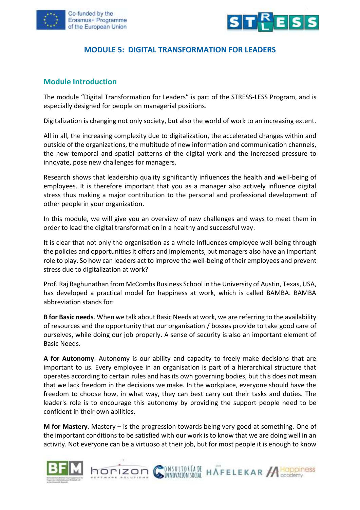



### **MODULE 5: DIGITAL TRANSFORMATION FOR LEADERS**

#### **Module Introduction**

The module "Digital Transformation for Leaders" is part of the STRESS-LESS Program, and is especially designed for people on managerial positions.

Digitalization is changing not only society, but also the world of work to an increasing extent.

All in all, the increasing complexity due to digitalization, the accelerated changes within and outside of the organizations, the multitude of new information and communication channels, the new temporal and spatial patterns of the digital work and the increased pressure to innovate, pose new challenges for managers.

Research shows that leadership quality significantly influences the health and well-being of employees. It is therefore important that you as a manager also actively influence digital stress thus making a major contribution to the personal and professional development of other people in your organization.

In this module, we will give you an overview of new challenges and ways to meet them in order to lead the digital transformation in a healthy and successful way.

It is clear that not only the organisation as a whole influences employee well-being through the policies and opportunities it offers and implements, but managers also have an important role to play. So how can leaders act to improve the well-being of their employees and prevent stress due to digitalization at work?

Prof. Raj Raghunathan from McCombs Business School in the University of Austin, Texas, USA, has developed a practical model for happiness at work, which is called BAMBA. BAMBA abbreviation stands for:

**B for Basic needs**. When we talk about Basic Needs at work, we are referring to the availability of resources and the opportunity that our organisation / bosses provide to take good care of ourselves, while doing our job properly. A sense of security is also an important element of Basic Needs.

**A for Autonomy**. Autonomy is our ability and capacity to freely make decisions that are important to us. Every employee in an organisation is part of a hierarchical structure that operates according to certain rules and has its own governing bodies, but this does not mean that we lack freedom in the decisions we make. In the workplace, everyone should have the freedom to choose how, in what way, they can best carry out their tasks and duties. The leader's role is to encourage this autonomy by providing the support people need to be confident in their own abilities.

**M for Mastery**. Mastery – is the progression towards being very good at something. One of the important conditions to be satisfied with our work is to know that we are doing well in an activity. Not everyone can be a virtuoso at their job, but for most people it is enough to know



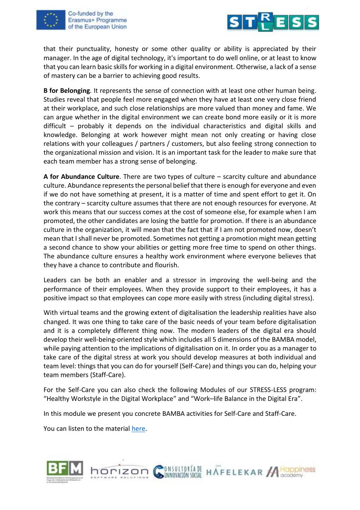



that their punctuality, honesty or some other quality or ability is appreciated by their manager. In the age of digital technology, it's important to do well online, or at least to know that you can learn basic skills for working in a digital environment. Otherwise, a lack of a sense of mastery can be a barrier to achieving good results.

**B for Belonging**. It represents the sense of connection with at least one other human being. Studies reveal that people feel more engaged when they have at least one very close friend at their workplace, and such close relationships are more valued than money and fame. We can argue whether in the digital environment we can create bond more easily or it is more difficult – probably it depends on the individual characteristics and digital skills and knowledge. Belonging at work however might mean not only creating or having close relations with your colleagues / partners / customers, but also feeling strong connection to the organizational mission and vision. It is an important task for the leader to make sure that each team member has a strong sense of belonging.

**A for Abundance Culture**. There are two types of culture – scarcity culture and abundance culture. Abundance represents the personal belief that there is enough for everyone and even if we do not have something at present, it is a matter of time and spent effort to get it. On the contrary – scarcity culture assumes that there are not enough resources for everyone. At work this means that our success comes at the cost of someone else, for example when I am promoted, the other candidates are losing the battle for promotion. If there is an abundance culture in the organization, it will mean that the fact that if I am not promoted now, doesn't mean that I shall never be promoted. Sometimes not getting a promotion might mean getting a second chance to show your abilities or getting more free time to spend on other things. The abundance culture ensures a healthy work environment where everyone believes that they have a chance to contribute and flourish.

Leaders can be both an enabler and a stressor in improving the well-being and the performance of their employees. When they provide support to their employees, it has a positive impact so that employees can cope more easily with stress (including digital stress).

With virtual teams and the growing extent of digitalisation the leadership realities have also changed. It was one thing to take care of the basic needs of your team before digitalisation and it is a completely different thing now. The modern leaders of the digital era should develop their well-being-oriented style which includes all 5 dimensions of the BAMBA model, while paying attention to the implications of digitalisation on it. In order you as a manager to take care of the digital stress at work you should develop measures at both individual and team level: things that you can do for yourself (Self-Care) and things you can do, helping your team members (Staff-Care).

For the Self-Care you can also check the following Modules of our STRESS-LESS program: "Healthy Workstyle in the Digital Workplace" and "Work–life Balance in the Digital Era".

In this module we present you concrete BAMBA activities for Self-Care and Staff-Care.

You can listen to the material [here.](https://youtu.be/WUSEwfQpXeI)



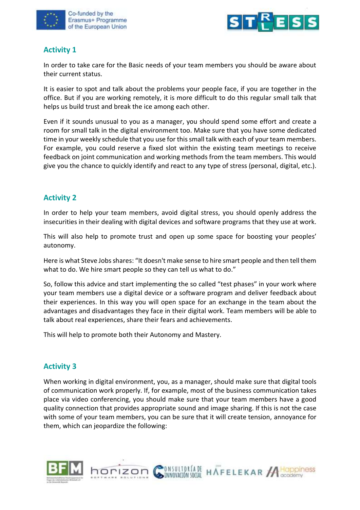



## **Activity 1**

In order to take care for the Basic needs of your team members you should be aware about their current status.

It is easier to spot and talk about the problems your people face, if you are together in the office. But if you are working remotely, it is more difficult to do this regular small talk that helps us build trust and break the ice among each other.

Even if it sounds unusual to you as a manager, you should spend some effort and create a room for small talk in the digital environment too. Make sure that you have some dedicated time in your weekly schedule that you use for this small talk with each of your team members. For example, you could reserve a fixed slot within the existing team meetings to receive feedback on joint communication and working methods from the team members. This would give you the chance to quickly identify and react to any type of stress (personal, digital, etc.).

## **Activity 2**

In order to help your team members, avoid digital stress, you should openly address the insecurities in their dealing with digital devices and software programs that they use at work.

This will also help to promote trust and open up some space for boosting your peoples' autonomy.

Here is what Steve Jobs shares: "It doesn't make sense to hire smart people and then tell them what to do. We hire smart people so they can tell us what to do."

So, follow this advice and start implementing the so called "test phases" in your work where your team members use a digital device or a software program and deliver feedback about their experiences. In this way you will open space for an exchange in the team about the advantages and disadvantages they face in their digital work. Team members will be able to talk about real experiences, share their fears and achievements.

This will help to promote both their Autonomy and Mastery.

horizon

## **Activity 3**

When working in digital environment, you, as a manager, should make sure that digital tools of communication work properly. If, for example, most of the business communication takes place via video conferencing, you should make sure that your team members have a good quality connection that provides appropriate sound and image sharing. If this is not the case with some of your team members, you can be sure that it will create tension, annoyance for them, which can jeopardize the following:

INNOVACIÓN SOCIAL

**INSULTORÍA DE HAFELEKAR A CODPINESS** 

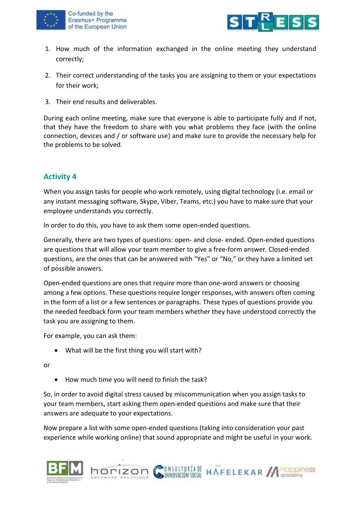



- 1. How much of the information exchanged in the online meeting they understand correctly;
- 2. Their correct understanding of the tasks you are assigning to them or your expectations for their work;
- 3. Their end results and deliverables.

During each online meeting, make sure that everyone is able to participate fully and if not, that they have the freedom to share with you what problems they face (with the online connection, devices and / or software use) and make sure to provide the necessary help for the problems to be solved.

# **Activity 4**

When you assign tasks for people who work remotely, using digital technology (i.e. email or any instant messaging software, Skype, Viber, Teams, etc.) you have to make sure that your employee understands you correctly.

In order to do this, you have to ask them some open-ended questions.

Generally, there are two types of questions: open- and close- ended. Open-ended questions are questions that will allow your team member to give a free-form answer. Closed-ended questions, are the ones that can be answered with "Yes" or "No," or they have a limited set of possible answers.

Open-ended questions are ones that require more than one-word answers or choosing among a few options. These questions require longer responses, with answers often coming in the form of a list or a few sentences or paragraphs. These types of questions provide you the needed feedback form your team members whether they have understood correctly the task you are assigning to them.

For example, you can ask them:

• What will be the first thing you will start with?

or

• How much time you will need to finish the task?

horizon

So, in order to avoid digital stress caused by miscommunication when you assign tasks to your team members, start asking them open-ended questions and make sure that their answers are adequate to your expectations.

Now prepare a list with some open-ended questions (taking into consideration your past experience while working online) that sound appropriate and might be useful in your work.

**DISULTORÍA DE HAFELEKAR A HOPPINES** 

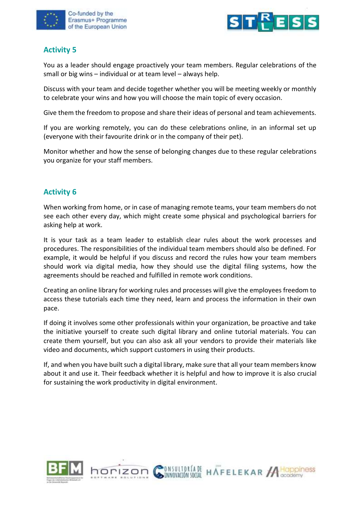



# **Activity 5**

You as a leader should engage proactively your team members. Regular celebrations of the small or big wins – individual or at team level – always help.

Discuss with your team and decide together whether you will be meeting weekly or monthly to celebrate your wins and how you will choose the main topic of every occasion.

Give them the freedom to propose and share their ideas of personal and team achievements.

If you are working remotely, you can do these celebrations online, in an informal set up (everyone with their favourite drink or in the company of their pet).

Monitor whether and how the sense of belonging changes due to these regular celebrations you organize for your staff members.

# **Activity 6**

When working from home, or in case of managing remote teams, your team members do not see each other every day, which might create some physical and psychological barriers for asking help at work.

It is your task as a team leader to establish clear rules about the work processes and procedures. The responsibilities of the individual team members should also be defined. For example, it would be helpful if you discuss and record the rules how your team members should work via digital media, how they should use the digital filing systems, how the agreements should be reached and fulfilled in remote work conditions.

Creating an online library for working rules and processes will give the employees freedom to access these tutorials each time they need, learn and process the information in their own pace.

If doing it involves some other professionals within your organization, be proactive and take the initiative yourself to create such digital library and online tutorial materials. You can create them yourself, but you can also ask all your vendors to provide their materials like video and documents, which support customers in using their products.

If, and when you have built such a digital library, make sure that all your team members know about it and use it. Their feedback whether it is helpful and how to improve it is also crucial for sustaining the work productivity in digital environment.

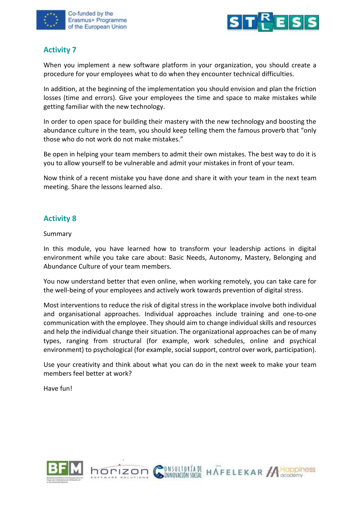



## **Activity 7**

When you implement a new software platform in your organization, you should create a procedure for your employees what to do when they encounter technical difficulties.

In addition, at the beginning of the implementation you should envision and plan the friction losses (time and errors). Give your employees the time and space to make mistakes while getting familiar with the new technology.

In order to open space for building their mastery with the new technology and boosting the abundance culture in the team, you should keep telling them the famous proverb that "only those who do not work do not make mistakes."

Be open in helping your team members to admit their own mistakes. The best way to do it is you to allow yourself to be vulnerable and admit your mistakes in front of your team.

Now think of a recent mistake you have done and share it with your team in the next team meeting. Share the lessons learned also.

### **Activity 8**

Summary

In this module, you have learned how to transform your leadership actions in digital environment while you take care about: Basic Needs, Autonomy, Mastery, Belonging and Abundance Culture of your team members.

You now understand better that even online, when working remotely, you can take care for the well-being of your employees and actively work towards prevention of digital stress.

Most interventions to reduce the risk of digital stress in the workplace involve both individual and organisational approaches. Individual approaches include training and one-to-one communication with the employee. They should aim to change individual skills and resources and help the individual change their situation. The organizational approaches can be of many types, ranging from structural (for example, work schedules, online and psychical environment) to psychological (for example, social support, control over work, participation).

Use your creativity and think about what you can do in the next week to make your team members feel better at work?

Have fun!